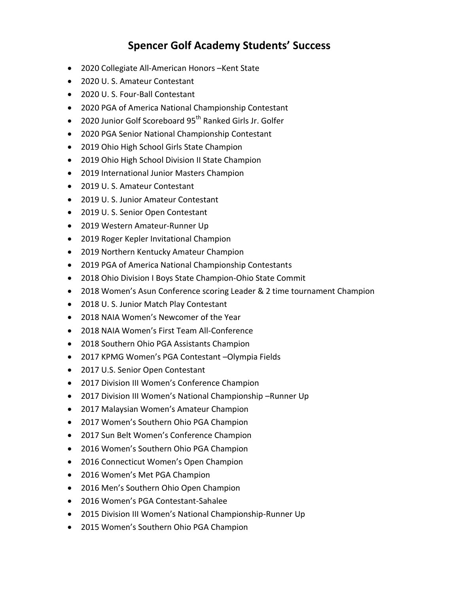## **Spencer Golf Academy Students' Success**

- 2020 Collegiate All-American Honors –Kent State
- 2020 U. S. Amateur Contestant
- 2020 U. S. Four-Ball Contestant
- 2020 PGA of America National Championship Contestant
- 2020 Junior Golf Scoreboard 95<sup>th</sup> Ranked Girls Jr. Golfer
- 2020 PGA Senior National Championship Contestant
- 2019 Ohio High School Girls State Champion
- 2019 Ohio High School Division II State Champion
- 2019 International Junior Masters Champion
- 2019 U. S. Amateur Contestant
- 2019 U. S. Junior Amateur Contestant
- 2019 U. S. Senior Open Contestant
- 2019 Western Amateur-Runner Up
- 2019 Roger Kepler Invitational Champion
- 2019 Northern Kentucky Amateur Champion
- 2019 PGA of America National Championship Contestants
- 2018 Ohio Division I Boys State Champion-Ohio State Commit
- 2018 Women's Asun Conference scoring Leader & 2 time tournament Champion
- 2018 U. S. Junior Match Play Contestant
- 2018 NAIA Women's Newcomer of the Year
- 2018 NAIA Women's First Team All-Conference
- 2018 Southern Ohio PGA Assistants Champion
- 2017 KPMG Women's PGA Contestant –Olympia Fields
- 2017 U.S. Senior Open Contestant
- 2017 Division III Women's Conference Champion
- 2017 Division III Women's National Championship –Runner Up
- 2017 Malaysian Women's Amateur Champion
- 2017 Women's Southern Ohio PGA Champion
- 2017 Sun Belt Women's Conference Champion
- 2016 Women's Southern Ohio PGA Champion
- 2016 Connecticut Women's Open Champion
- 2016 Women's Met PGA Champion
- 2016 Men's Southern Ohio Open Champion
- 2016 Women's PGA Contestant-Sahalee
- 2015 Division III Women's National Championship-Runner Up
- 2015 Women's Southern Ohio PGA Champion